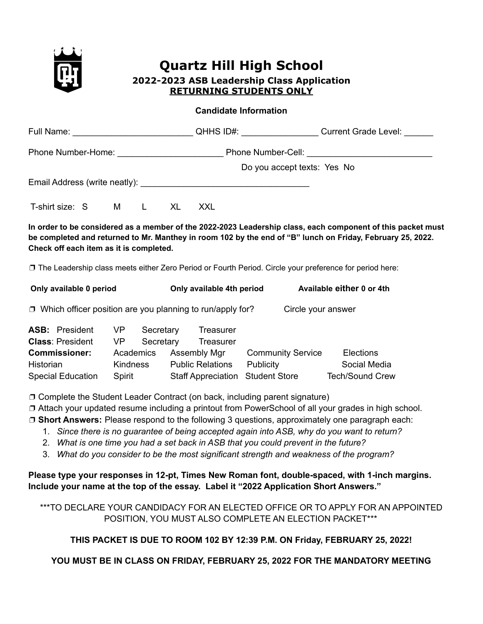

# **Quartz Hill High School 2022-2023 ASB Leadership Class Application RETURNING STUDENTS ONLY**

#### **Candidate Information**

|                                                                   |    |              |                                     | Do you accept texts: Yes No                                                                               |                                                                                                                                                                                                                           |  |
|-------------------------------------------------------------------|----|--------------|-------------------------------------|-----------------------------------------------------------------------------------------------------------|---------------------------------------------------------------------------------------------------------------------------------------------------------------------------------------------------------------------------|--|
|                                                                   |    |              |                                     |                                                                                                           |                                                                                                                                                                                                                           |  |
| T-shirt size: S M                                                 |    | $\mathsf{L}$ | XL<br><b>XXL</b>                    |                                                                                                           |                                                                                                                                                                                                                           |  |
| Check off each item as it is completed.                           |    |              |                                     |                                                                                                           | In order to be considered as a member of the 2022-2023 Leadership class, each component of this packet must<br>be completed and returned to Mr. Manthey in room 102 by the end of "B" lunch on Friday, February 25, 2022. |  |
|                                                                   |    |              |                                     | □ The Leadership class meets either Zero Period or Fourth Period. Circle your preference for period here: |                                                                                                                                                                                                                           |  |
| Only available 0 period                                           |    |              |                                     | Only available 4th period Available either 0 or 4th                                                       |                                                                                                                                                                                                                           |  |
| $\Box$ Which officer position are you planning to run/apply for?  |    |              |                                     | Circle your answer                                                                                        |                                                                                                                                                                                                                           |  |
| <b>ASB:</b> President<br><b>Class: President</b><br>Commissioner: | VP | Secretary    | Treasurer<br>VP Secretary Treasurer | Academics Assembly Mar Community Service                                                                  | <b>Elections</b>                                                                                                                                                                                                          |  |

**Commissioner:** Academics Assembly Mgr Community Service Elections Historian Kindness Public Relations Publicity Social Media Special Education Spirit Staff Appreciation Student Store Tech/Sound Crew

❐ Complete the Student Leader Contract (on back, including parent signature)

❐ Attach your updated resume including a printout from PowerSchool of all your grades in high school.

❐ **Short Answers:** Please respond to the following 3 questions, approximately one paragraph each:

- 1. *Since there is no guarantee of being accepted again into ASB, why do you want to return?*
- 2. *What is one time you had a set back in ASB that you could prevent in the future?*
- 3. *What do you consider to be the most significant strength and weakness of the program?*

**Please type your responses in 12-pt, Times New Roman font, double-spaced, with 1-inch margins. Include your name at the top of the essay. Label it "2022 Application Short Answers."**

\*\*\*TO DECLARE YOUR CANDIDACY FOR AN ELECTED OFFICE OR TO APPLY FOR AN APPOINTED POSITION, YOU MUST ALSO COMPLETE AN ELECTION PACKET\*\*\*

#### **THIS PACKET IS DUE TO ROOM 102 BY 12:39 P.M. ON Friday, FEBRUARY 25, 2022!**

#### **YOU MUST BE IN CLASS ON FRIDAY, FEBRUARY 25, 2022 FOR THE MANDATORY MEETING**